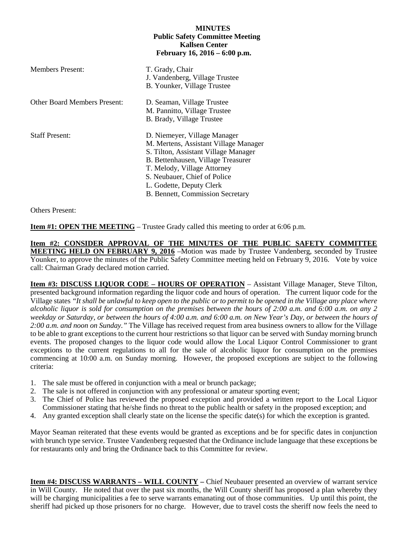## **MINUTES Public Safety Committee Meeting Kallsen Center February 16, 2016 – 6:00 p.m.**

| <b>Members Present:</b>             | T. Grady, Chair<br>J. Vandenberg, Village Trustee<br>B. Younker, Village Trustee                                                                                                                                                                                                   |
|-------------------------------------|------------------------------------------------------------------------------------------------------------------------------------------------------------------------------------------------------------------------------------------------------------------------------------|
| <b>Other Board Members Present:</b> | D. Seaman, Village Trustee<br>M. Pannitto, Village Trustee<br>B. Brady, Village Trustee                                                                                                                                                                                            |
| <b>Staff Present:</b>               | D. Niemeyer, Village Manager<br>M. Mertens, Assistant Village Manager<br>S. Tilton, Assistant Village Manager<br>B. Bettenhausen, Village Treasurer<br>T. Melody, Village Attorney<br>S. Neubauer, Chief of Police<br>L. Godette, Deputy Clerk<br>B. Bennett, Commission Secretary |

Others Present:

**Item #1: OPEN THE MEETING** – Trustee Grady called this meeting to order at 6:06 p.m.

**Item #2: CONSIDER APPROVAL OF THE MINUTES OF THE PUBLIC SAFETY COMMITTEE MEETING HELD ON FEBRUARY 9, 2016** –Motion was made by Trustee Vandenberg, seconded by Trustee Younker, to approve the minutes of the Public Safety Committee meeting held on February 9, 2016. Vote by voice call: Chairman Grady declared motion carried.

**Item #3: DISCUSS LIQUOR CODE – HOURS OF OPERATION** – Assistant Village Manager, Steve Tilton, presented background information regarding the liquor code and hours of operation. The current liquor code for the Village states *"It shall be unlawful to keep open to the public or to permit to be opened in the Village any place where alcoholic liquor is sold for consumption on the premises between the hours of 2:00 a.m. and 6:00 a.m. on any 2 weekday or Saturday, or between the hours of 4:00 a.m. and 6:00 a.m. on New Year's Day, or between the hours of 2:00 a.m. and noon on Sunday."* The Village has received request from area business owners to allow for the Village to be able to grant exceptions to the current hour restrictions so that liquor can be served with Sunday morning brunch events. The proposed changes to the liquor code would allow the Local Liquor Control Commissioner to grant exceptions to the current regulations to all for the sale of alcoholic liquor for consumption on the premises commencing at 10:00 a.m. on Sunday morning. However, the proposed exceptions are subject to the following criteria:

- 1. The sale must be offered in conjunction with a meal or brunch package;
- 2. The sale is not offered in conjunction with any professional or amateur sporting event;
- 3. The Chief of Police has reviewed the proposed exception and provided a written report to the Local Liquor Commissioner stating that he/she finds no threat to the public health or safety in the proposed exception; and
- 4. Any granted exception shall clearly state on the license the specific date(s) for which the exception is granted.

Mayor Seaman reiterated that these events would be granted as exceptions and be for specific dates in conjunction with brunch type service. Trustee Vandenberg requested that the Ordinance include language that these exceptions be for restaurants only and bring the Ordinance back to this Committee for review.

**Item #4: DISCUSS WARRANTS – WILL COUNTY –** Chief Neubauer presented an overview of warrant service in Will County. He noted that over the past six months, the Will County sheriff has proposed a plan whereby they will be charging municipalities a fee to serve warrants emanating out of those communities. Up until this point, the sheriff had picked up those prisoners for no charge. However, due to travel costs the sheriff now feels the need to